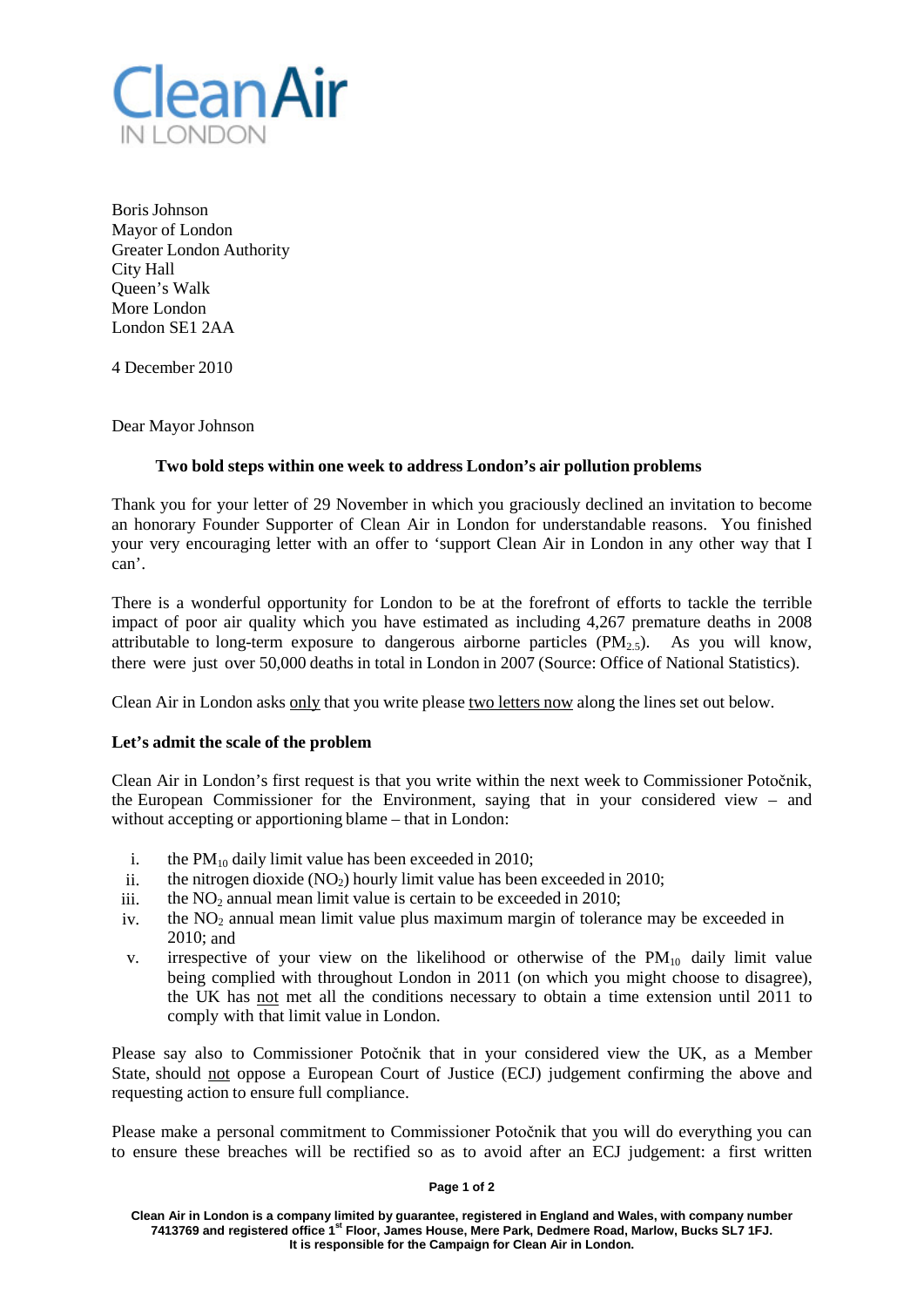

Boris Johnson Mayor of London Greater London Authority City Hall Queen's Walk More London London SE1 2AA

4 December 2010

Dear Mayor Johnson

# **Two bold steps within one week to address London's air pollution problems**

Thank you for your letter of 29 November in which you graciously declined an invitation to become an honorary Founder Supporter of Clean Air in London for understandable reasons. You finished your very encouraging letter with an offer to 'support Clean Air in London in any other way that I can'.

There is a wonderful opportunity for London to be at the forefront of efforts to tackle the terrible impact of poor air quality which you have estimated as including 4,267 premature deaths in 2008 attributable to long-term exposure to dangerous airborne particles  $(PM_{2.5})$ . As you will know, there were just over 50,000 deaths in total in London in 2007 (Source: Office of National Statistics).

Clean Air in London asks only that you write please two letters now along the lines set out below.

# **Let's admit the scale of the problem**

Clean Air in London's first request is that you write within the next week to Commissioner Potočnik, the European Commissioner for the Environment, saying that in your considered view – and without accepting or apportioning blame – that in London:

- i. the  $PM_{10}$  daily limit value has been exceeded in 2010;
- ii. the nitrogen dioxide  $(NO<sub>2</sub>)$  hourly limit value has been exceeded in 2010;
- iii. the  $NO<sub>2</sub>$  annual mean limit value is certain to be exceeded in 2010;
- iv. the  $NO<sub>2</sub>$  annual mean limit value plus maximum margin of tolerance may be exceeded in 2010; and
- v. irrespective of your view on the likelihood or otherwise of the  $PM_{10}$  daily limit value being complied with throughout London in 2011 (on which you might choose to disagree), the UK has not met all the conditions necessary to obtain a time extension until 2011 to comply with that limit value in London.

Please say also to Commissioner Potočnik that in your considered view the UK, as a Member State, should not oppose a European Court of Justice (ECJ) judgement confirming the above and requesting action to ensure full compliance.

Please make a personal commitment to Commissioner Potočnik that you will do everything you can to ensure these breaches will be rectified so as to avoid after an ECJ judgement: a first written

#### **Page 1 of 2**

**Clean Air in London is a company limited by guarantee, registered in England and Wales, with company number 7413769 and registered office 1st Floor, James House, Mere Park, Dedmere Road, Marlow, Bucks SL7 1FJ. It is responsible for the Campaign for Clean Air in London.**